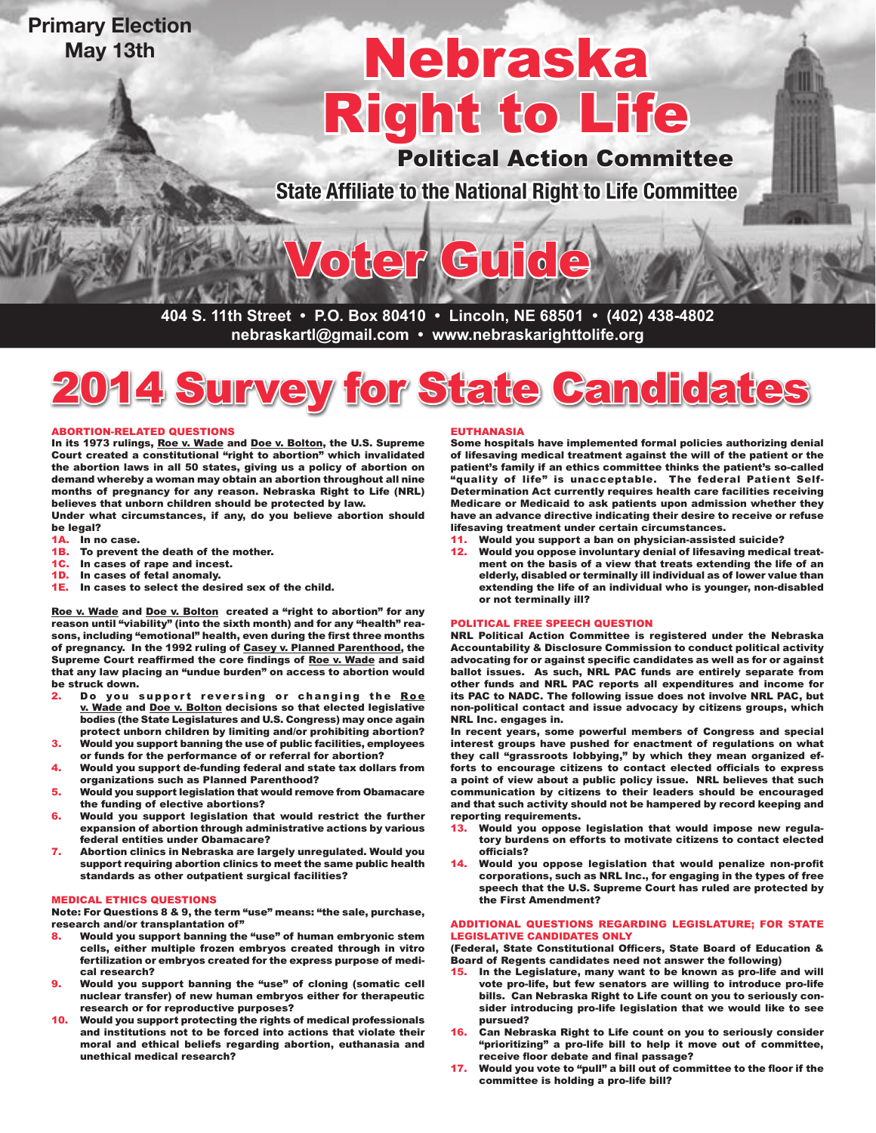# **Primary Election May 13th**

# Right to Life Nebraska

Political Action Committee

**State Affiliate to the National Right to Life Committee**

**404 S. 11th Street • P.O. Box 80410 • Lincoln, NE 68501 • (402) 438-4802 nebraskartl@gmail.com • www.nebraskarighttolife.org**

Voter Guide



### ABORTION-RELATED QUESTIONS

In its 1973 rulings, Roe v. Wade and Doe v. Bolton, the U.S. Supreme Court created a constitutional "right to abortion" which invalidated the abortion laws in all 50 states, giving us a policy of abortion on demand whereby a woman may obtain an abortion throughout all nine months of pregnancy for any reason. Nebraska Right to Life (NRL) believes that unborn children should be protected by law.

Under what circumstances, if any, do you believe abortion should be legal?

- 1A. In no case.<br>1B. To prevent
- To prevent the death of the mother.
- 1C. In cases of rape and incest.
- 1D. In cases of fetal anomaly.<br>1E. In cases to select the des
- In cases to select the desired sex of the child.

Roe v. Wade and Doe v. Bolton created a "right to abortion" for any reason until "viability" (into the sixth month) and for any "health" reasons, including "emotional" health, even during the first three months of pregnancy. In the 1992 ruling of Casey v. Planned Parenthood, the Supreme Court reaffirmed the core findings of Roe v. Wade and said that any law placing an "undue burden" on access to abortion would be struck down.

- 2. Do you support reversing or changing the Roe v. Wade and Doe v. Bolton decisions so that elected legislative bodies (the State Legislatures and U.S. Congress) may once again protect unborn children by limiting and/or prohibiting abortion?
- 3. Would you support banning the use of public facilities, employees or funds for the performance of or referral for abortion?
- 4. Would you support de-funding federal and state tax dollars from organizations such as Planned Parenthood?
- 5. Would you support legislation that would remove from Obamacare the funding of elective abortions?
- 6. Would you support legislation that would restrict the further expansion of abortion through administrative actions by various federal entities under Obamacare?
- 7. Abortion clinics in Nebraska are largely unregulated. Would you support requiring abortion clinics to meet the same public health standards as other outpatient surgical facilities?

#### MEDICAL ETHICS QUESTIONS

Note: For Questions 8 & 9, the term "use" means: "the sale, purchase, research and/or transplantation of"

- Would you support banning the "use" of human embryonic stem cells, either multiple frozen embryos created through in vitro fertilization or embryos created for the express purpose of medical research?
- 9. Would you support banning the "use" of cloning (somatic cell nuclear transfer) of new human embryos either for therapeutic research or for reproductive purposes?
- 10. Would you support protecting the rights of medical professionals and institutions not to be forced into actions that violate their moral and ethical beliefs regarding abortion, euthanasia and unethical medical research?

#### EUTHANASIA

Some hospitals have implemented formal policies authorizing denial of lifesaving medical treatment against the will of the patient or the patient's family if an ethics committee thinks the patient's so-called "quality of life" is unacceptable. The federal Patient Self-Determination Act currently requires health care facilities receiving Medicare or Medicaid to ask patients upon admission whether they have an advance directive indicating their desire to receive or refuse lifesaving treatment under certain circumstances.

- 11. Would you support a ban on physician-assisted suicide?
- 12. Would you oppose involuntary denial of lifesaving medical treatment on the basis of a view that treats extending the life of an elderly, disabled or terminally ill individual as of lower value than extending the life of an individual who is younger, non-disabled or not terminally ill?

## POLITICAL FREE SPEECH QUESTION

NRL Political Action Committee is registered under the Nebraska Accountability & Disclosure Commission to conduct political activity advocating for or against specific candidates as well as for or against ballot issues. As such, NRL PAC funds are entirely separate from other funds and NRL PAC reports all expenditures and income for its PAC to NADC. The following issue does not involve NRL PAC, but non-political contact and issue advocacy by citizens groups, which NRL Inc. engages in.

In recent years, some powerful members of Congress and special interest groups have pushed for enactment of regulations on what they call "grassroots lobbying," by which they mean organized efforts to encourage citizens to contact elected officials to express a point of view about a public policy issue. NRL believes that such communication by citizens to their leaders should be encouraged and that such activity should not be hampered by record keeping and reporting requirements.

- 13. Would you oppose legislation that would impose new regulatory burdens on efforts to motivate citizens to contact elected officials?
- 14. Would you oppose legislation that would penalize non-profit corporations, such as NRL Inc., for engaging in the types of free speech that the U.S. Supreme Court has ruled are protected by the First Amendment?

#### ADDITIONAL QUESTIONS REGARDING LEGISLATURE; FOR STATE LEGISLATIVE CANDIDATES ONLY

(Federal, State Constitutional Officers, State Board of Education & Board of Regents candidates need not answer the following)

- 15. In the Legislature, many want to be known as pro-life and will vote pro-life, but few senators are willing to introduce pro-life bills. Can Nebraska Right to Life count on you to seriously consider introducing pro-life legislation that we would like to see pursued?
- 16. Can Nebraska Right to Life count on you to seriously consider "prioritizing" a pro-life bill to help it move out of committee, receive floor debate and final passage?
- 17. Would you vote to "pull" a bill out of committee to the floor if the committee is holding a pro-life bill?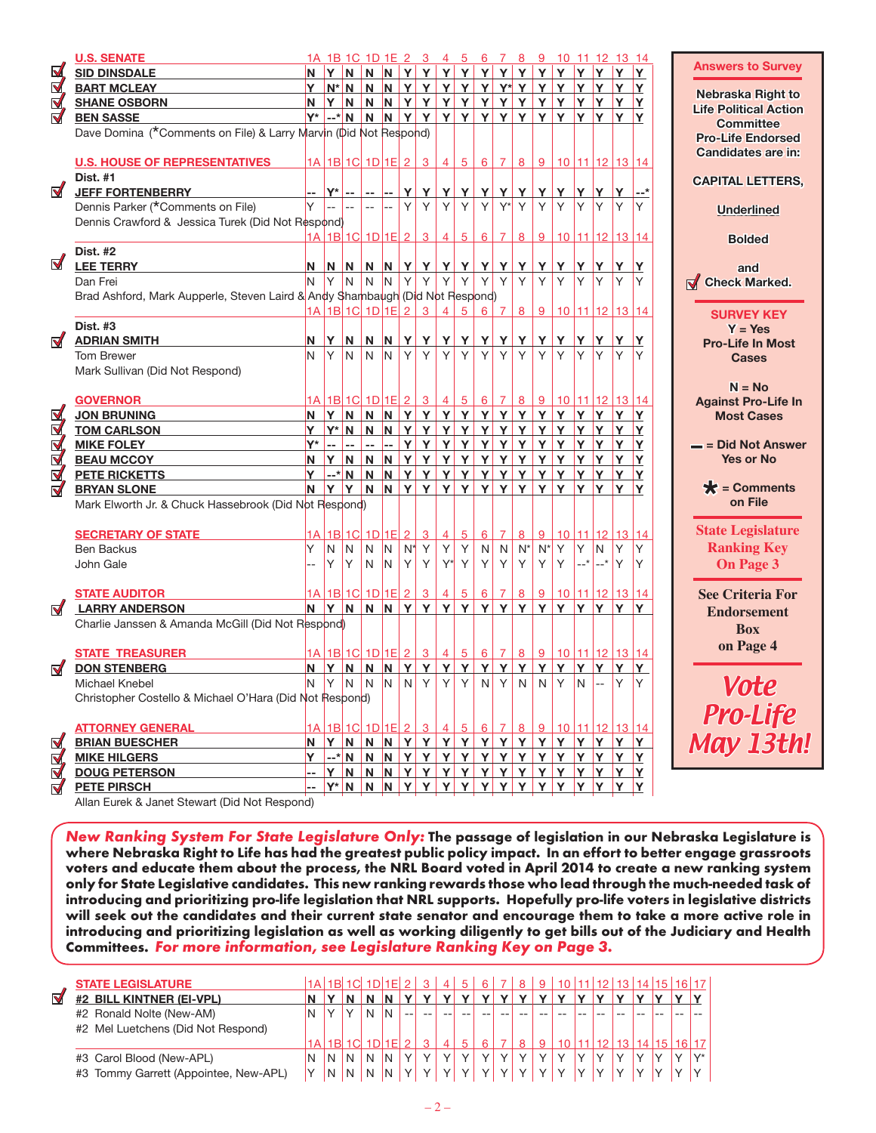|                      | <b>U.S. SENATE</b>                                                           |          |                |                | 1A 1B 1C 1D 1E 2 3                    |                |       |                    | $\overline{4}$ | 5 <sub>1</sub>  | 6               | $\overline{7}$ | 8                 | 9              |                                               |             |                | 10 11 12 13 14 |                | <b>Answers to Survey</b>                        |
|----------------------|------------------------------------------------------------------------------|----------|----------------|----------------|---------------------------------------|----------------|-------|--------------------|----------------|-----------------|-----------------|----------------|-------------------|----------------|-----------------------------------------------|-------------|----------------|----------------|----------------|-------------------------------------------------|
| <u>V</u>             | <b>SID DINSDALE</b>                                                          | ΙN.      | Y              | N              | N                                     | N              |       | Y Y                | Y              | Y               | Y               | Y              | Y                 | Y              | Y                                             | Y           | Y              | Y              | Y              |                                                 |
| $\triangledown$      | <b>BART MCLEAY</b>                                                           | ΙY.      |                | $N^* N$        | N                                     | N.             |       | YY                 | Y              | Y               | Y               | $Y^*$ Y        |                   | Y              | Y                                             | Y           | Y              | Y              | Y              | Nebraska Right to                               |
| ₫,                   | <b>SHANE OSBORN</b>                                                          | N.       | Y              | N              | $\overline{\mathsf{N}}$               | N <sub></sub>  |       | Y Y                |                | YYYYY           |                 |                |                   |                | YYY                                           |             | <b>Y</b>       | Y              | Y              | <b>Life Political Action</b>                    |
| $\triangledown$      | <b>BEN SASSE</b>                                                             |          |                | Y*  --* N      | N                                     | N.             |       |                    |                | Y Y Y Y Y Y Y   |                 |                |                   |                | YY                                            | Y           | ΙY.            | Y              | Y              | <b>Committee</b>                                |
|                      | Dave Domina (*Comments on File) & Larry Marvin (Did Not Respond)             |          |                |                |                                       |                |       |                    |                |                 |                 |                |                   |                |                                               |             |                |                |                | <b>Pro-Life Endorsed</b>                        |
|                      |                                                                              |          |                |                |                                       |                |       |                    |                |                 |                 |                |                   |                |                                               |             |                |                |                | Candidates are in:                              |
|                      | <b>U.S. HOUSE OF REPRESENTATIVES</b>                                         |          |                |                |                                       |                |       |                    |                |                 |                 |                |                   |                | 1A 1B 1C 1D 1E 2 3 4 5 6 7 8 9 10 11 12 13 14 |             |                |                |                |                                                 |
|                      | <b>Dist. #1</b>                                                              |          |                |                |                                       |                |       |                    |                |                 |                 |                |                   |                |                                               |             |                |                |                | <b>CAPITAL LETTERS,</b>                         |
| $\blacktriangledown$ | <b>JEFF FORTENBERRY</b>                                                      |          | $Y^*$          | $\sim$ $\sim$  | $\mathbf{u}$                          | $\overline{a}$ | Y     | Y                  | Y              | Y               | Y               | Y              | Y                 | Y              | Y                                             | Y           | Y              | Y              |                |                                                 |
|                      | Dennis Parker (*Comments on File)                                            | Y        | $\overline{a}$ | $\overline{a}$ | $\overline{a}$                        | $\overline{a}$ | Y     | Y                  | Y              | Y               | Y               | $Y^*$          | Y                 | Y              | Y                                             | Y           | Y              | Y              | Y              | <b>Underlined</b>                               |
|                      | Dennis Crawford & Jessica Turek (Did Not Respond)                            |          |                |                |                                       |                |       |                    |                |                 |                 |                |                   |                |                                               |             |                |                |                |                                                 |
|                      |                                                                              |          |                |                | 1A 1B 1C 1D 1E 2                      |                |       | $\mathbf{3}$       | $\overline{4}$ | $5^{\circ}$     | $6 \mid$        | 7 <sup>1</sup> | 8                 | 9              |                                               |             |                | 10 11 12 13 14 |                | <b>Bolded</b>                                   |
|                      | <b>Dist. #2</b>                                                              |          |                |                |                                       |                |       |                    |                |                 |                 |                |                   |                |                                               |             |                |                |                |                                                 |
| $\blacktriangledown$ | <b>LEE TERRY</b>                                                             | N        | N              | N              |                                       | $N$ $N$        |       | YY                 | Y              | $\mathbf{Y}$    | Y               | Y              | Y                 | Y              | Y                                             | Y           | Y              | Y              | Y              | and                                             |
|                      | Dan Frei                                                                     | N        | Y              | N              | N                                     | <sup>IN</sup>  | Y     | Y                  | Υ              | Y               | Y               | Y              | Y                 | Y              | Y                                             | lY.         | ΙY.            | Y              |                | <b>Check Marked.</b>                            |
|                      | Brad Ashford, Mark Aupperle, Steven Laird & Andy Shambaugh (Did Not Respond) |          |                |                |                                       |                |       |                    |                |                 |                 |                |                   |                |                                               |             |                |                |                |                                                 |
|                      |                                                                              |          |                |                |                                       |                |       | 1A 1B 1C 1D 1E 2 3 | $\overline{4}$ | 5 <sup>1</sup>  | 6               | 7 <sup>1</sup> | 8                 | 9              |                                               |             |                | 10 11 12 13 14 |                |                                                 |
|                      | <b>Dist. #3</b>                                                              |          |                |                |                                       |                |       |                    |                |                 |                 |                |                   |                |                                               |             |                |                |                | <b>SURVEY KEY</b>                               |
| ನ                    | <b>ADRIAN SMITH</b>                                                          | N        | Y              | N              | N.                                    | N              | Y۱    | Y                  | Y              | Y               | Y               | Y              | Y                 | Y              | Y                                             | <b>Y</b>    | Y.             | Y              | Υ              | $Y = Yes$                                       |
|                      | Tom Brewer                                                                   | N.       | Y              | $\mathsf{N}$   | N                                     | IN.            | Y     | Y                  | Y              | Y               | Y               | Y              | Y                 | Y              | Y                                             | <b>Y</b>    | Y.             | Y              | Y              | <b>Pro-Life In Most</b>                         |
|                      | Mark Sullivan (Did Not Respond)                                              |          |                |                |                                       |                |       |                    |                |                 |                 |                |                   |                |                                               |             |                |                |                | <b>Cases</b>                                    |
|                      |                                                                              |          |                |                |                                       |                |       |                    |                |                 |                 |                |                   |                |                                               |             |                |                |                | $N = No$                                        |
|                      | <b>GOVERNOR</b>                                                              |          |                |                |                                       |                |       | 1A 1B 1C 1D 1E 2 3 | $\overline{4}$ | 5               |                 |                | $6 \mid 7 \mid 8$ | 9              |                                               |             |                | 10 11 12 13 14 |                |                                                 |
| $\boxtimes$          | <b>JON BRUNING</b>                                                           | N        | Y              |                |                                       |                |       |                    |                | N N N Y Y Y Y   | $\mathbf{Y}$    |                | $Y$ $Y$           | Y              | Y                                             | Y           | Y.             | Y              | Y              | <b>Against Pro-Life In</b><br><b>Most Cases</b> |
| $\overline{\nabla}$  | <b>TOM CARLSON</b>                                                           | Y        |                |                | $Y^*$ N N N                           |                |       | YY                 |                | YYYYY           |                 |                |                   |                | Y Y Y                                         |             | <b>Y</b>       | Y.             | Y              |                                                 |
|                      |                                                                              | Y*       | $\mathbb{Z}^2$ | $\mathbf{u}$   | $\mathbb{Z}^{\mathbb{Z}}$             | I--            |       | YY                 | Y              | Y               | Y               | <b>Y</b> Y     |                   | Y <sub>1</sub> | Y                                             | Y           | Y.             | Y              | Y              | $=$ = Did Not Answer                            |
| RR                   | <b>MIKE FOLEY</b>                                                            | <b>N</b> | Y              |                |                                       |                |       |                    |                |                 |                 |                |                   |                |                                               |             |                | Y.             | Y              | <b>Yes or No</b>                                |
|                      | <b>BEAU MCCOY</b>                                                            |          |                |                | $-$ N N N N                           |                |       | $Y$ $Y$            |                |                 |                 |                | YYY               |                |                                               |             |                |                |                |                                                 |
| <u>N</u>             | <b>PETE RICKETTS</b>                                                         | Y        |                |                |                                       |                |       |                    |                | Y Y             |                 |                |                   | Y              | Y<br>Y N N Y Y Y Y Y Y Y Y Y Y Y Y Y          | İΥ.         | <b>Y</b>       | Y              | Y              | $\bigstar$ = Comments                           |
| $\triangledown$      | <b>BRYAN SLONE</b>                                                           |          | N Y            |                |                                       |                |       |                    |                |                 |                 |                |                   |                |                                               |             |                | Y              | Y              | on File                                         |
|                      | Mark Elworth Jr. & Chuck Hassebrook (Did Not Respond)                        |          |                |                |                                       |                |       |                    |                |                 |                 |                |                   |                |                                               |             |                |                |                |                                                 |
|                      |                                                                              |          |                |                |                                       |                |       |                    |                |                 |                 |                |                   |                |                                               |             |                |                |                | <b>State Legislature</b>                        |
|                      | <b>SECRETARY OF STATE</b>                                                    | 1A       |                | $1B$ $1C$      |                                       | 1D 1E 2        |       | $\overline{3}$     | $\overline{4}$ | $5\overline{)}$ | $6\overline{6}$ | $\overline{7}$ | 8                 | 9              |                                               |             |                |                | 10 11 12 13 14 |                                                 |
|                      | <b>Ben Backus</b>                                                            | Υ        | N              | N              | N                                     | N              | $N^*$ | Y                  | Y              | Y               | N               | N              | $N^*$             | $N^*$          | Y                                             | Y           | N.             | Y              | Y              | <b>Ranking Key</b>                              |
|                      | John Gale                                                                    |          | Υ              | Y              | N                                     | <sup>IN</sup>  | Y     | Y                  |                | $Y^*$ Y         | Y               | Y              | Y                 | Y              | Y                                             | $\vert$ --* | $-$ *          | Y              | Y              | On Page 3                                       |
|                      |                                                                              |          |                |                |                                       |                |       |                    |                |                 |                 |                |                   |                |                                               |             |                |                |                |                                                 |
|                      | <b>STATE AUDITOR</b>                                                         |          |                |                | 1A 1B 1C 1D 1E 2                      |                |       | $\overline{3}$     | $\overline{4}$ | 5 <sub>2</sub>  | 6               | 7 <sup>1</sup> | 8                 | 9              |                                               |             |                |                | 10 11 12 13 14 | <b>See Criteria For</b>                         |
| $\blacktriangledown$ | <b>LARRY ANDERSON</b>                                                        | <b>N</b> | Y              |                |                                       |                |       | N N N Y Y          |                | Y Y             |                 |                |                   |                | Y Y Y Y Y Y                                   |             | IY.            | Y              | Y              | <b>Endorsement</b>                              |
|                      | Charlie Janssen & Amanda McGill (Did Not Respond)                            |          |                |                |                                       |                |       |                    |                |                 |                 |                |                   |                |                                               |             |                |                |                | <b>Box</b>                                      |
|                      |                                                                              |          |                |                |                                       |                |       |                    |                |                 |                 |                |                   |                |                                               |             |                |                |                | on Page 4                                       |
|                      | <b>STATE TREASURER</b>                                                       |          |                |                | <u> 1A   1B   1C   1D   1E   2   </u> |                |       | $\overline{3}$     | $\overline{4}$ | $\overline{5}$  | 6               | $\overline{7}$ | 8                 | 9              |                                               |             |                |                | 10 11 12 13 14 |                                                 |
| $\blacktriangledown$ | <b>DON STENBERG</b>                                                          | <b>N</b> | Y.             | N              | N                                     | N.             | Y     | Y                  | Y              | Y               | Y               | Y              | Y                 | Y              | Y                                             | Y.          | Y.             | Y              | Y              |                                                 |
|                      | Michael Knebel                                                               | IN.      | Y              | N              | N                                     | IN.            | N     | Y                  | Y              | Y               | N               | Y              | $\mathsf{N}$      | $\mathsf{N}$   | Y                                             | N.          | $\mathbb{R}^2$ | Y              | Y              | <b>Vote</b>                                     |
|                      | Christopher Costello & Michael O'Hara (Did Not Respond)                      |          |                |                |                                       |                |       |                    |                |                 |                 |                |                   |                |                                               |             |                |                |                |                                                 |
|                      |                                                                              |          |                |                |                                       |                |       |                    |                |                 |                 |                |                   |                |                                               |             |                |                |                | <b>Pro-Life</b>                                 |
|                      | <b>ATTORNEY GENERAL</b>                                                      |          |                |                | 1A 1B 1C 1D 1E 2                      |                |       | $\overline{3}$     | $\overline{4}$ | 5 <sub>2</sub>  | 6               | $\overline{7}$ | 8                 | 9              |                                               |             | 10 11 12       |                | 13 14          |                                                 |
| <u>M</u>             | <b>BRIAN BUESCHER</b>                                                        | N        | Y.             | N              | N                                     | N.             |       | YY                 | $\mathbf{Y}$   | Y               | Y               | $\mathbf{Y}$   | Y                 | Y              | Y                                             | Y           | Y              | Y              | Y              | May 13th!                                       |
| $\boxtimes$          | <b>MIKE HILGERS</b>                                                          | Y        |                | $-$ * $N$      | N                                     | N              | Y     | Y                  | Y              | Y               | Y               | Y              | Y                 | Y              | Y                                             | Y           | Y              | Y              | Y              |                                                 |
| $\boxtimes$          | <b>DOUG PETERSON</b>                                                         |          | Y              | N              | N                                     | N              | Y     | Y                  | Y              | Y               | Y               | Y              | Y                 | Y              | Y                                             | <b>Y</b>    | <b>Y</b>       | Y              | Υ              |                                                 |
| $\triangledown$      | <b>PETE PIRSCH</b>                                                           |          |                | $Y^* N$        | N                                     | <b>N</b>       |       | YY                 | Y              | Y               | Y               | Y              | Y                 | Y              | Y                                             | <b>Y</b>    | Y.             | Y              | Y              |                                                 |
|                      |                                                                              |          |                |                |                                       |                |       |                    |                |                 |                 |                |                   |                |                                               |             |                |                |                |                                                 |

Allan Eurek & Janet Stewart (Did Not Respond)

New Ranking System For State Legislature Only: The passage of legislation in our Nebraska Legislature is where Nebraska Right to Life has had the greatest public policy impact. In an effort to better engage grassroots voters and educate them about the process, the NRL Board voted in April 2014 to create a new ranking system only for State Legislative candidates. This new ranking rewards those who lead through the much-needed task of introducing and prioritizing pro-life legislation that NRL supports. Hopefully pro-life voters in legislative districts will seek out the candidates and their current state senator and encourage them to take a more active role in introducing and prioritizing legislation as well as working diligently to get bills out of the Judiciary and Health Committees. For more information, see Legislature Ranking Key on Page 3.

|   | <b>STATE LEGISLATURE</b>              |   | $1A$ 1R |   |   |   |  | 5 | 6 | 8 | 9   10   11   12   13   14   15 |  |  | 16 17 |              |
|---|---------------------------------------|---|---------|---|---|---|--|---|---|---|---------------------------------|--|--|-------|--------------|
| Ñ | #2 BILL KINTNER (EI-VPL)              |   |         |   |   |   |  |   |   |   |                                 |  |  |       |              |
|   | #2 Ronald Nolte (New-AM)              |   |         |   |   | N |  |   |   |   |                                 |  |  |       |              |
|   | #2 Mel Luetchens (Did Not Respond)    |   |         |   |   |   |  |   |   |   |                                 |  |  |       |              |
|   |                                       |   |         |   |   |   |  |   |   | R | 10                              |  |  |       | 16 17        |
|   | #3 Carol Blood (New-APL)              | N | N       | N | N |   |  |   |   |   |                                 |  |  |       | $\lambda$ /* |
|   | #3 Tommy Garrett (Appointee, New-APL) |   | N       | N | N | N |  |   |   |   |                                 |  |  |       |              |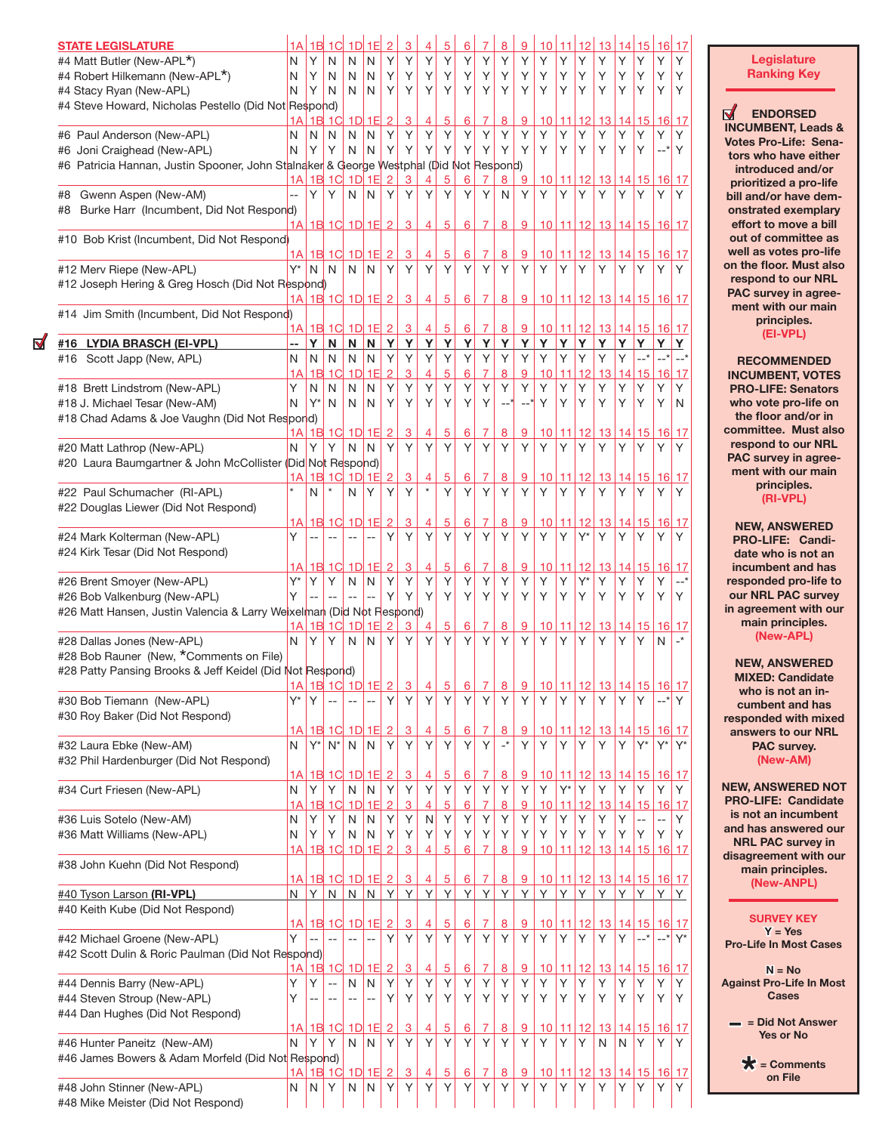| <b>STATE LEGISLATURE</b>                                                               | 1А             |        | 1B 1C                                        |                | $1D$ 1E                      | $\overline{2}$ | 3                   |                | 5              | 6               |                | 8                                                   | 9              | 10              | 11           | 12         | 13                             | 14 15                      |                       | <u> 16</u>  |                                  |
|----------------------------------------------------------------------------------------|----------------|--------|----------------------------------------------|----------------|------------------------------|----------------|---------------------|----------------|----------------|-----------------|----------------|-----------------------------------------------------|----------------|-----------------|--------------|------------|--------------------------------|----------------------------|-----------------------|-------------|----------------------------------|
| #4 Matt Butler (New-APL*)                                                              | N              | Υ      | N                                            | N              | N                            | Υ              | Υ                   | Y              | Υ              | Y               | Υ              | Y                                                   | Υ              | Υ               | Υ            | Υ          | Υ                              | Υ                          | Υ                     | Υ           | Υ                                |
| #4 Robert Hilkemann (New-APL*)                                                         | N              | Υ      | N                                            | N              | N                            | Υ              | Υ                   | Υ              | Υ              | Υ               | Υ              | Y                                                   | Υ              | Υ               | Υ            | Υ          | Υ                              | Υ                          | Υ                     | Υ           | Υ                                |
| #4 Stacy Ryan (New-APL)                                                                | N              | Υ      | N                                            | N              | N                            | Υ              | Υ                   | Y              | Υ              | Υ               | Υ              | Y                                                   | Υ              | Υ               | Υ            | Y          | Υ                              | Υ                          | Υ                     | Υ           | Υ                                |
| #4 Steve Howard, Nicholas Pestello (Did Not Respond)                                   | 1A             | 1B     | 1 <sup>C</sup>                               |                | $1D$ $1E$                    | $\overline{2}$ | 3                   | 4              | 5              | 6               | 7              | 8                                                   | 9              | 10              | 11           | 12         |                                | 13 14 15                   |                       | 16          | <u> 17</u>                       |
| #6 Paul Anderson (New-APL)                                                             | N              | N      | N                                            | N              | N                            | Υ              | Υ                   | Υ              | Y              | Y               | Y              | Y                                                   | Υ              | Υ               | Υ            | Υ          | Υ                              | Υ                          | Υ                     | Υ           | Υ                                |
| #6 Joni Craighead (New-APL)                                                            | N              | Υ      | Υ                                            | N              | N                            | Υ              | Υ                   | Υ              | Υ              | Υ               | Υ              | Υ                                                   | Υ              | Υ               | Υ            | Υ          | Υ                              | Υ                          | Υ                     | __*         | Υ                                |
| #6 Patricia Hannan, Justin Spooner, John Stalnaker & George Westphal (Did Not Respond) |                |        |                                              |                |                              |                |                     |                |                |                 |                |                                                     |                |                 |              |            |                                |                            |                       |             |                                  |
|                                                                                        | 1Al            | 1B     | 1 <sup>C</sup>                               |                | 1D1E                         | $\overline{2}$ | 3                   | 4              | 5              | 6               | 7              | 8                                                   | 9              | 10              |              | $11$ 12    |                                | 13 14 15                   |                       | 16          | 17                               |
| Gwenn Aspen (New-AM)<br>#8                                                             | $\overline{a}$ | Υ      | Υ                                            | N              | N                            | Υ              | Υ                   | Υ              | Υ              | Υ               | Υ              | N                                                   | Υ              | Y               | Y            | Y          | Υ                              | Υ                          | Υ                     | Υ           | Υ                                |
| Burke Harr (Incumbent, Did Not Respond)<br>#8                                          |                |        |                                              |                |                              |                |                     |                |                |                 |                |                                                     |                |                 |              |            |                                |                            |                       |             |                                  |
|                                                                                        |                |        | <u>1A 1B 1C 1D 1E 2</u>                      |                |                              |                | $\overline{3}$      | $\overline{4}$ | 5              | 6               | $\overline{7}$ | $\overline{8}$                                      | 9              |                 |              |            | <u>10 11 12 13 14 15 16 17</u> |                            |                       |             |                                  |
| #10 Bob Krist (Incumbent, Did Not Respond)                                             | 1AI            |        | 1B 1C                                        |                | $1D$ $1E$                    | $\overline{2}$ | 3                   | 4              | 5              | 6               | 7              | 8                                                   | 9              | 10              | 11           | 12         | 13                             |                            | 14 15                 | 16          | 17                               |
| #12 Merv Riepe (New-APL)                                                               | Y*             | N      | N                                            | N              | N                            | Y              | Υ                   | Y              | Y              | Y               | Υ              | Y                                                   | Y              | Υ               | Υ            | Y          | Υ                              | Υ                          | Y                     | Y           | Υ                                |
| #12 Joseph Hering & Greg Hosch (Did Not Respond)                                       |                |        |                                              |                |                              |                |                     |                |                |                 |                |                                                     |                |                 |              |            |                                |                            |                       |             |                                  |
|                                                                                        |                |        | <u>1A 1B 1C 1D 1E 2</u>                      |                |                              |                | 3                   | 4              | 5 <sup>5</sup> | 6               | $\overline{7}$ | 8                                                   | 9              |                 |              |            | 10 11 12 13 14 15 16 17        |                            |                       |             |                                  |
| #14 Jim Smith (Incumbent, Did Not Respond)                                             |                |        |                                              |                |                              |                |                     |                |                |                 |                |                                                     |                |                 |              |            |                                |                            |                       |             |                                  |
|                                                                                        |                |        | 1A 1B 1C 1D 1E 2                             |                |                              |                | $\overline{3}$      | $\overline{4}$ | 5              | 6               | $\overline{7}$ | $\overline{8}$                                      | 9              | 10              | 11           | 12         |                                | $13$ 14 15                 |                       | 16 17       |                                  |
| #16 LYDIA BRASCH (EI-VPL)                                                              | N              | Y<br>N | N<br>N                                       | N<br>N         | $\overline{\mathsf{N}}$<br>N | Y<br>Υ         | Y<br>Υ              | Υ<br>Y         | Y<br>Υ         | Y<br>Υ          | Y<br>Υ         | $\mathbf Y$<br>Y                                    | Y<br>Υ         | Y<br>Υ          | Y<br>Υ       | Y<br>Υ     | Y<br>Υ                         | Y<br>Y                     | Y<br>$--$ *           | Y<br>$-$ *  | Y<br>$--$ *                      |
| #16 Scott Japp (New, APL)                                                              | 1A             | 1B     | 1 <sup>C</sup>                               | 1D             | 1E                           | $\overline{2}$ | 3                   | 4              | 5              | 6               | 7              | 8                                                   | 9              | 10              | 11           | 12         | 13                             |                            | 14 15                 | 16          | 17                               |
| #18 Brett Lindstrom (New-APL)                                                          | Υ              | N      | N                                            | N              | N                            | Y              | Υ                   | Y              | Y              | Y               | Y              | Y                                                   | Υ              | Y               | Υ            | Υ          | Υ                              | Y                          | Υ                     | Υ           | Y                                |
| #18 J. Michael Tesar (New-AM)                                                          | N              | $Y^*$  | N                                            | N              | N                            | Υ              | Υ                   | Υ              | Υ              | Υ               | Υ              |                                                     |                | Υ               | Υ            | Υ          | Υ                              | Υ                          | Υ                     | Y           | N                                |
| #18 Chad Adams & Joe Vaughn (Did Not Respond)                                          |                |        |                                              |                |                              |                |                     |                |                |                 |                |                                                     |                |                 |              |            |                                |                            |                       |             |                                  |
|                                                                                        | 1A             |        | 1B 1C 1D 1E                                  |                |                              | $\overline{2}$ | 3                   | 4              | 5              | 6               | 7              | 8                                                   | 9              | 10              | 11           | 12         | 13                             |                            | 14 15                 | 16          | 17                               |
| #20 Matt Lathrop (New-APL)                                                             | N              | Υ      | Υ                                            | N              | N                            | Y              | Υ                   | Y              | Y              | Y               | Y              | Y                                                   | Y              | Y               | Y            | Y          | Y                              | Y                          | Υ                     | Υ           | Υ                                |
| #20 Laura Baumgartner & John McCollister (Did Not Respond)                             |                |        |                                              |                |                              |                |                     |                |                |                 |                |                                                     |                |                 |              |            |                                |                            |                       |             |                                  |
|                                                                                        | 1А             |        | $1B$ $1C$                                    | 1D             | 1E                           | $\overline{c}$ | <u>3</u>            | 4<br>$\star$   | <u>5</u>       | 6               | 7              | 8                                                   | 9              | 10              | 11           | 12         | 13                             |                            | 14 15                 | 16          | 17                               |
| #22 Paul Schumacher (RI-APL)                                                           |                | N      | $\star$                                      | N              | Υ                            | Y              | Υ                   |                | Y              | Y               | Υ              | Y                                                   | Y              | Υ               | Y            | Y          | Υ                              | Υ                          | Y                     | Υ           | Υ                                |
| #22 Douglas Liewer (Did Not Respond)                                                   | 1A             |        | 1B 1C 1D 1E                                  |                |                              | $\overline{2}$ | 3                   | 4              | 5              | 6               | 7              | 8                                                   | 9              | 10              | 11 12        |            |                                | 13 14 15                   |                       | 16          | 17                               |
| #24 Mark Kolterman (New-APL)                                                           | Υ              | $-$    |                                              |                |                              | Υ              | Υ                   | Υ              | Υ              | Y               | Y              | Y                                                   | Υ              | Υ               | Υ            | Y*         | Υ                              | Υ                          | Y                     | Υ           | Υ                                |
| #24 Kirk Tesar (Did Not Respond)                                                       |                |        |                                              |                |                              |                |                     |                |                |                 |                |                                                     |                |                 |              |            |                                |                            |                       |             |                                  |
|                                                                                        | 1А             |        | 1B 1C 1D 1E                                  |                |                              | $\overline{2}$ | $\overline{3}$      | 4              | 5              | 6               | $\overline{7}$ | 8                                                   | 9              | 10              | 11           | 12         |                                | $13$ 14 15                 |                       | 16          | 17                               |
| #26 Brent Smoyer (New-APL)                                                             | Y*             | Υ      | Y                                            | N              | N                            | Υ              | Υ                   | Υ              | Y              | Y               | Υ              | Y                                                   | Υ              | Y               | Υ            | Y*         | Υ                              | Υ                          | Υ                     | Υ           | __*                              |
| #26 Bob Valkenburg (New-APL)                                                           | Y              |        |                                              |                |                              | Υ              | Υ                   | Υ              | Υ              | Υ               | Υ              | Y                                                   | Υ              | Υ               | Υ            | Υ          | Υ                              | Υ                          | Υ                     | Υ           | Υ                                |
| #26 Matt Hansen, Justin Valencia & Larry Weixelman (Did Not Respond)                   |                |        |                                              |                |                              |                |                     |                |                |                 |                |                                                     |                |                 |              |            |                                |                            |                       |             |                                  |
|                                                                                        | 1А             | 1B     | 1 <sup>C</sup>                               |                | $1D$ $1E$                    | $\overline{2}$ | 3                   |                | 5              | 6               | $\overline{7}$ | 8                                                   | 9              | 10              | $11$ 12      |            |                                | $13$ 14 15                 |                       | 16          | 17<br>$\overline{\phantom{a}}^*$ |
| #28 Dallas Jones (New-APL)<br>#28 Bob Rauner (New, *Comments on File)                  | N              | Υ      | Υ                                            | N              | N                            | Υ              | Υ                   | Υ              | Υ              | Υ               | Υ              | Υ                                                   | Υ              | Υ               | Υ            | Y          | Υ                              | Y                          | Υ                     | N           |                                  |
| #28 Patty Pansing Brooks & Jeff Keidel (Did Not Respond)                               |                |        |                                              |                |                              |                |                     |                |                |                 |                |                                                     |                |                 |              |            |                                |                            |                       |             |                                  |
|                                                                                        | 1A             |        | <u>1B 1C 1D 1E</u>                           |                |                              | $\overline{2}$ | 3                   | 4              | 5              | <u>6</u>        | 7              | 8                                                   | 9              | 10              |              | 11 12      |                                | 13 14 15                   |                       | <u> 161</u> | 17                               |
| #30 Bob Tiemann (New-APL)                                                              | Y*             | Υ      | $-$                                          |                |                              | Υ              | Υ                   | Υ              | Y              | Υ               | Υ              | Υ                                                   | Υ              | Υ               | Y            | Y          | Υ                              | Y                          | Y                     | __*         | Y                                |
| #30 Roy Baker (Did Not Respond)                                                        |                |        |                                              |                |                              |                |                     |                |                |                 |                |                                                     |                |                 |              |            |                                |                            |                       |             |                                  |
|                                                                                        |                |        | 1A 1B 1C 1D 1E 2                             |                |                              |                | $\overline{3}$      | 4              | 5              | 6               | $\overline{7}$ | 8                                                   | 9              | 10              |              | 11 12      | 13 14 15 16 17                 |                            |                       |             |                                  |
| #32 Laura Ebke (New-AM)                                                                | N              | $Y^*$  | $N^*$                                        | N              | N                            | Y              | Υ                   | Υ              | Y              | Υ               | Υ              | $\mathord{\hspace{1pt}\text{--}\hspace{1pt}}^\star$ | Υ              | Y               | Y            | Y          | Y                              | Y                          | Y*                    | $Y^*$       | $Y^*$                            |
| #32 Phil Hardenburger (Did Not Respond)                                                |                |        |                                              |                |                              |                |                     |                |                |                 |                |                                                     |                |                 |              |            |                                |                            |                       |             |                                  |
|                                                                                        | 1A<br>N        | Y      | 1B 1C 1D 1E 2<br>Υ                           | N              | N                            | Y              | $\overline{3}$<br>Y | 4<br>Y         | <u>5</u><br>Υ  | <u>6</u><br>Υ   | 7<br>Y         | 8<br>Y                                              | 9<br>Υ         | <u> 10</u><br>Y | Y*           | 11112<br>Υ | 13 14 15<br>Y                  | Υ                          | Υ                     | Υ           | $16$ 17<br>Y                     |
| #34 Curt Friesen (New-APL)                                                             | 1A             |        | 1B 1C 1D 1E                                  |                |                              | $\overline{2}$ | 3                   | 4              | <u>5</u>       | 6               | 7              | 8                                                   | 9              | 10              | 11           | 12         | 13                             | 14 15                      |                       | 16          | 17                               |
| #36 Luis Sotelo (New-AM)                                                               | N              | Υ      | Υ                                            | N              | $\mathsf{N}$                 | Y              | Υ                   | $\mathsf{N}$   | Υ              | Υ               | Υ              | Y                                                   | Y              | Υ               | Υ            | Υ          | Υ                              | Υ                          | $\overline{a}$        | --          | Y                                |
| #36 Matt Williams (New-APL)                                                            | N              | Y      | Υ                                            | N              | N                            | Υ              | Υ                   | Υ              | Υ              | Υ               | Υ              | Y                                                   | Υ              | Υ               | Υ            | Υ          | Υ                              | Υ                          | Υ                     | Υ           | Y                                |
|                                                                                        | A              |        | 1B 1C 1D 1E                                  |                |                              | $\overline{2}$ | 3                   | 4              | 5              | 6               | $\overline{7}$ | 8                                                   | 9              | 10              | 11           | 12         |                                | $13$ 14 15                 |                       |             | 16 17                            |
| #38 John Kuehn (Did Not Respond)                                                       |                |        |                                              |                |                              |                |                     |                |                |                 |                |                                                     |                |                 |              |            |                                |                            |                       |             |                                  |
|                                                                                        |                |        | 1A 1B 1C 1D 1E 2                             |                |                              |                | $\overline{3}$      | $\overline{4}$ | 5              | $6\phantom{1}6$ | 7              | $\bf{8}$                                            | 9              | 10              |              | 11 12      | 13 14 15 16 17                 |                            |                       |             |                                  |
| #40 Tyson Larson (RI-VPL)                                                              | N              | Y I    | N                                            | $N$ $N$        |                              | <u>  Y</u>     | Y                   | Y              | Y              | $\mathsf{Y}$    | Y              | Y                                                   | $\overline{Y}$ | Y               | Y            | Y          | Y                              | Y                          | Y.                    | Υ           | Y                                |
| #40 Keith Kube (Did Not Respond)                                                       |                |        |                                              |                |                              |                |                     |                |                |                 |                |                                                     |                |                 |              |            |                                |                            |                       |             |                                  |
| #42 Michael Groene (New-APL)                                                           | Υ              | $-$    | 1A 1B 1C 1D 1E 2<br>$\overline{\phantom{a}}$ | $-$            | $\overline{a}$               | Y              | $\overline{3}$<br>Υ | 4<br>Y         | <u>5</u><br>Y  | 6<br>Y          | 7<br>Y         | <u>8</u><br>Y                                       | 9<br>Υ         | <u>10</u><br>Υ  | $11$ 12<br>Υ | Y          | Υ                              | <u>13 14 15 16 17</u><br>Y | $\mathbf{--}^{\star}$ | $--$ *      | $Y^*$                            |
| #42 Scott Dulin & Roric Paulman (Did Not Respond)                                      |                |        |                                              |                |                              |                |                     |                |                |                 |                |                                                     |                |                 |              |            |                                |                            |                       |             |                                  |
|                                                                                        | 1A             |        | 1B 1C 1D 1E                                  |                |                              | $\overline{2}$ | $\overline{3}$      | 4              | 5              | 6               | $\overline{7}$ | 8                                                   | 9              | 10              |              | 11 12      |                                | <u>13 14 15 16 17</u>      |                       |             |                                  |
| #44 Dennis Barry (New-APL)                                                             | Υ              | Υ      | $\overline{a}$                               | N              | Ν                            | Υ              | Υ                   | Y              | Υ              | Υ               | Υ              | Y                                                   | Υ              | Υ               | Υ            | Υ          | Υ                              | Υ                          | Υ                     | Y           | Y                                |
| #44 Steven Stroup (New-APL)                                                            | Υ              | $-$    | $\sim$ $\sim$                                | $\overline{a}$ | --                           | Υ              | Υ                   | Y              | Υ              | Y               | Υ              | Y                                                   | Y              | Y               | Υ            | Υ          | Υ                              | Y                          | Y                     | Υ           | Y                                |
| #44 Dan Hughes (Did Not Respond)                                                       |                |        |                                              |                |                              |                |                     |                |                |                 |                |                                                     |                |                 |              |            |                                |                            |                       |             |                                  |
|                                                                                        | 1A             |        | 1B 1C 1D 1E                                  |                |                              | $\overline{2}$ | <u>3</u>            | 4              | 5              | 6               | 7              | 8                                                   | 9              | 10              | 11           | 12         | 13                             |                            | 14 15                 | 16          | 17                               |
| #46 Hunter Paneitz (New-AM)                                                            | N              | Υ      | Y                                            | N              | N                            | Y              | Υ                   | Y              | Υ              | Υ               | Υ              | Y                                                   | Υ              | Υ               | Υ            | Y          | N                              | N                          | Y                     | Y           | Y                                |
| #46 James Bowers & Adam Morfeld (Did Not Respond)                                      |                |        | 1A 1B 1C 1D 1E 2                             |                |                              |                | $\overline{3}$      | 4              |                |                 | $\overline{7}$ | 8                                                   | 9              | 10              | 11 12        |            |                                |                            |                       |             |                                  |
| #48 John Stinner (New-APL)                                                             | N              | N      | Υ                                            | N              | N                            | Υ              | Υ                   | Υ              | 5<br>Υ         | 6<br>Υ          | Υ              | Υ                                                   | Υ              | Υ               | Y            | Y          | <u>13 14 15 16 17</u><br>Υ     | Υ                          | Υ                     | Y           | Y                                |
| #48 Mike Meister (Did Not Respond)                                                     |                |        |                                              |                |                              |                |                     |                |                |                 |                |                                                     |                |                 |              |            |                                |                            |                       |             |                                  |

 $\blacktriangledown$ 

## **Legislature Ranking Key**

**ENDORSED INCUMBENT, Leads & Votes Pro-Life: Senators who have either introduced and/or prioritized a pro-life bill and/or have demonstrated exemplary effort to move a bill out of committee as well as votes pro-life on the floor. Must also respond to our NRL PAC survey in agreement with our main principles. (EI-VPL)**

**RECOMMENDED INCUMBENT, VOTES PRO-LIFE: Senators who vote pro-life on the floor and/or in committee. Must also respond to our NRL PAC survey in agreement with our main principles. (RI-VPL)**

**NEW, ANSWERED PRO-LIFE: Candidate who is not an incumbent and has responded pro-life to our NRL PAC survey in agreement with our main principles. (New-APL)**

**NEW, ANSWERED MIXED: Candidate who is not an incumbent and has responded with mixed answers to our NRL PAC survey. (New-AM)**

**NEW, ANSWERED NOT PRO-LIFE: Candidate is not an incumbent and has answered our NRL PAC survey in disagreement with our main principles. (New-ANPL)**

**SURVEY KEY Y = Yes Pro-Life In Most Cases** 

**N = No Against Pro-Life In Most Cases** 

> **– = Did Not Answer Yes or No**

**\* = Comments on File**